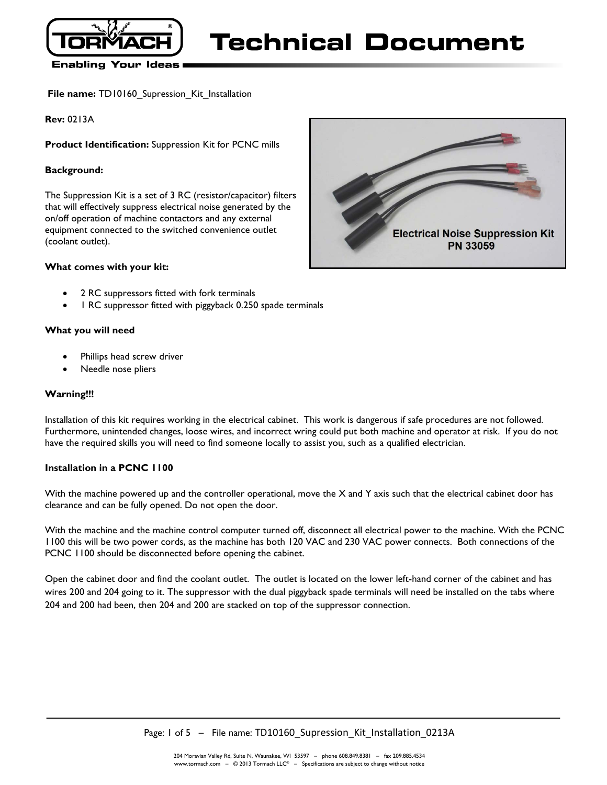

### **Enabling Your Ideas**

**File name: TD10160** Supression Kit Installation

**Rev:** 0213A

**Product Identification:** Suppression Kit for PCNC mills

### **Background:**

The Suppression Kit is a set of 3 RC (resistor/capacitor) filters that will effectively suppress electrical noise generated by the on/off operation of machine contactors and any external equipment connected to the switched convenience outlet (coolant outlet).

### **What comes with your kit:**

- 2 RC suppressors fitted with fork terminals
- 1 RC suppressor fitted with piggyback 0.250 spade terminals

### **What you will need**

- Phillips head screw driver
- Needle nose pliers

### **Warning!!!**

Installation of this kit requires working in the electrical cabinet. This work is dangerous if safe procedures are not followed. Furthermore, unintended changes, loose wires, and incorrect wring could put both machine and operator at risk. If you do not have the required skills you will need to find someone locally to assist you, such as a qualified electrician.

#### **Installation in a PCNC 1100**

With the machine powered up and the controller operational, move the X and Y axis such that the electrical cabinet door has clearance and can be fully opened. Do not open the door.

With the machine and the machine control computer turned off, disconnect all electrical power to the machine. With the PCNC 1100 this will be two power cords, as the machine has both 120 VAC and 230 VAC power connects. Both connections of the PCNC 1100 should be disconnected before opening the cabinet.

Open the cabinet door and find the coolant outlet. The outlet is located on the lower left-hand corner of the cabinet and has wires 200 and 204 going to it. The suppressor with the dual piggyback spade terminals will need be installed on the tabs where 204 and 200 had been, then 204 and 200 are stacked on top of the suppressor connection.

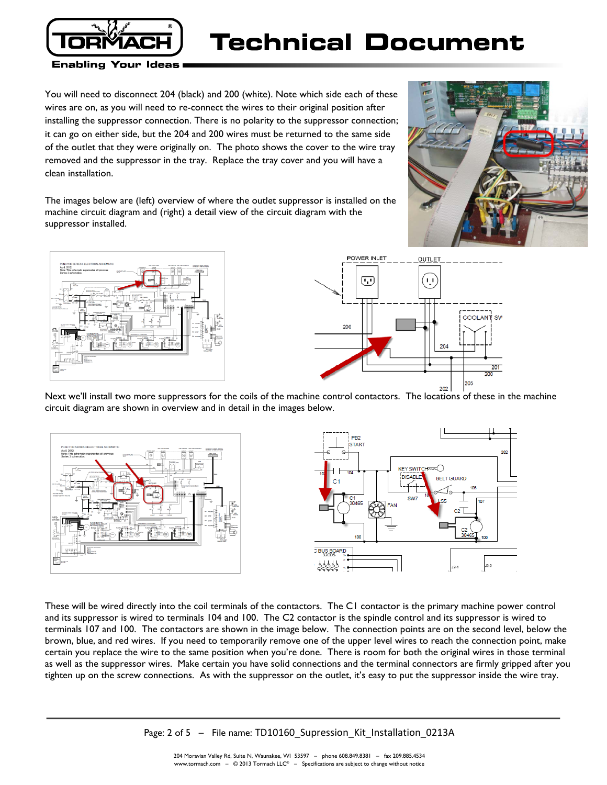

# Technical Document

**Enabling Your Ideas** 

You will need to disconnect 204 (black) and 200 (white). Note which side each of these wires are on, as you will need to re-connect the wires to their original position after installing the suppressor connection. There is no polarity to the suppressor connection; it can go on either side, but the 204 and 200 wires must be returned to the same side of the outlet that they were originally on. The photo shows the cover to the wire tray removed and the suppressor in the tray. Replace the tray cover and you will have a clean installation.



The images below are (left) overview of where the outlet suppressor is installed on the machine circuit diagram and (right) a detail view of the circuit diagram with the suppressor installed.





Next we'll install two more suppressors for the coils of the machine control contactors. The locations of these in the machine circuit diagram are shown in overview and in detail in the images below.



These will be wired directly into the coil terminals of the contactors. The C1 contactor is the primary machine power control and its suppressor is wired to terminals 104 and 100. The C2 contactor is the spindle control and its suppressor is wired to terminals 107 and 100. The contactors are shown in the image below. The connection points are on the second level, below the brown, blue, and red wires. If you need to temporarily remove one of the upper level wires to reach the connection point, make certain you replace the wire to the same position when you're done. There is room for both the original wires in those terminal as well as the suppressor wires. Make certain you have solid connections and the terminal connectors are firmly gripped after you tighten up on the screw connections. As with the suppressor on the outlet, it's easy to put the suppressor inside the wire tray.

Page: 2 of 5 – File name: TD10160\_Supression\_Kit\_Installation\_0213A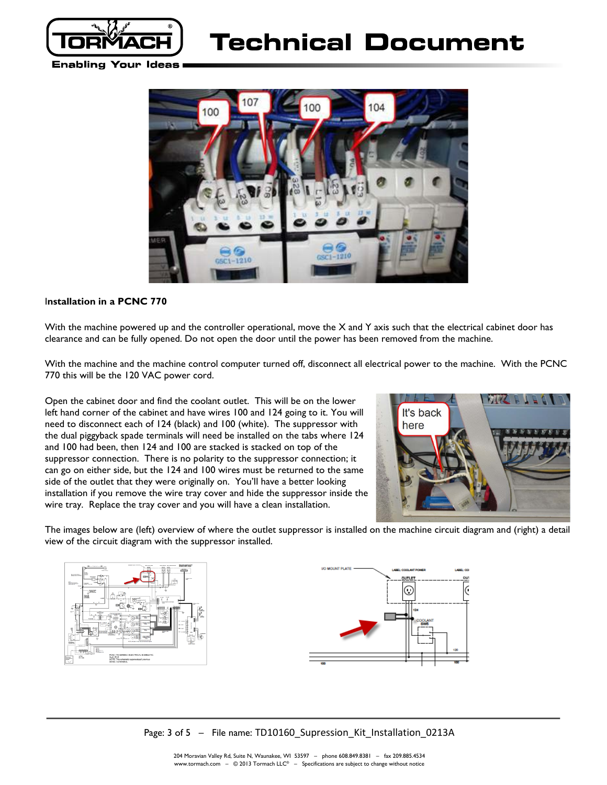

# Technical Document

**Enabling Your Ideas** 



### I**nstallation in a PCNC 770**

With the machine powered up and the controller operational, move the  $X$  and  $Y$  axis such that the electrical cabinet door has clearance and can be fully opened. Do not open the door until the power has been removed from the machine.

With the machine and the machine control computer turned off, disconnect all electrical power to the machine. With the PCNC 770 this will be the 120 VAC power cord.

Open the cabinet door and find the coolant outlet. This will be on the lower left hand corner of the cabinet and have wires 100 and 124 going to it. You will need to disconnect each of 124 (black) and 100 (white). The suppressor with the dual piggyback spade terminals will need be installed on the tabs where 124 and 100 had been, then 124 and 100 are stacked is stacked on top of the suppressor connection. There is no polarity to the suppressor connection; it can go on either side, but the 124 and 100 wires must be returned to the same side of the outlet that they were originally on. You'll have a better looking installation if you remove the wire tray cover and hide the suppressor inside the wire tray. Replace the tray cover and you will have a clean installation.



The images below are (left) overview of where the outlet suppressor is installed on the machine circuit diagram and (right) a detail view of the circuit diagram with the suppressor installed.





Page: 3 of 5 – File name: TD10160\_Supression\_Kit\_Installation\_0213A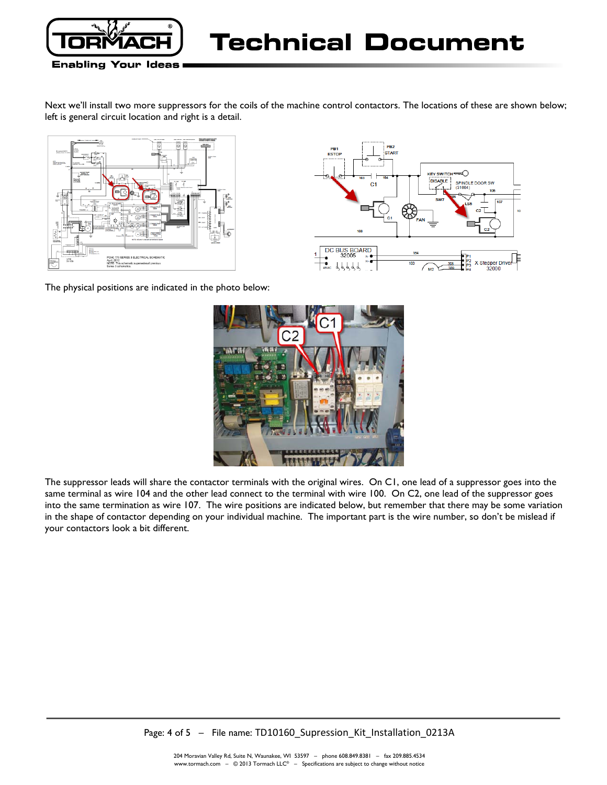

### **Enabling Your Ideas**

Next we'll install two more suppressors for the coils of the machine control contactors. The locations of these are shown below; left is general circuit location and right is a detail.





The physical positions are indicated in the photo below:



The suppressor leads will share the contactor terminals with the original wires. On C1, one lead of a suppressor goes into the same terminal as wire 104 and the other lead connect to the terminal with wire 100. On C2, one lead of the suppressor goes into the same termination as wire 107. The wire positions are indicated below, but remember that there may be some variation in the shape of contactor depending on your individual machine. The important part is the wire number, so don't be mislead if your contactors look a bit different.

Page: 4 of 5 - File name: TD10160\_Supression\_Kit\_Installation\_0213A